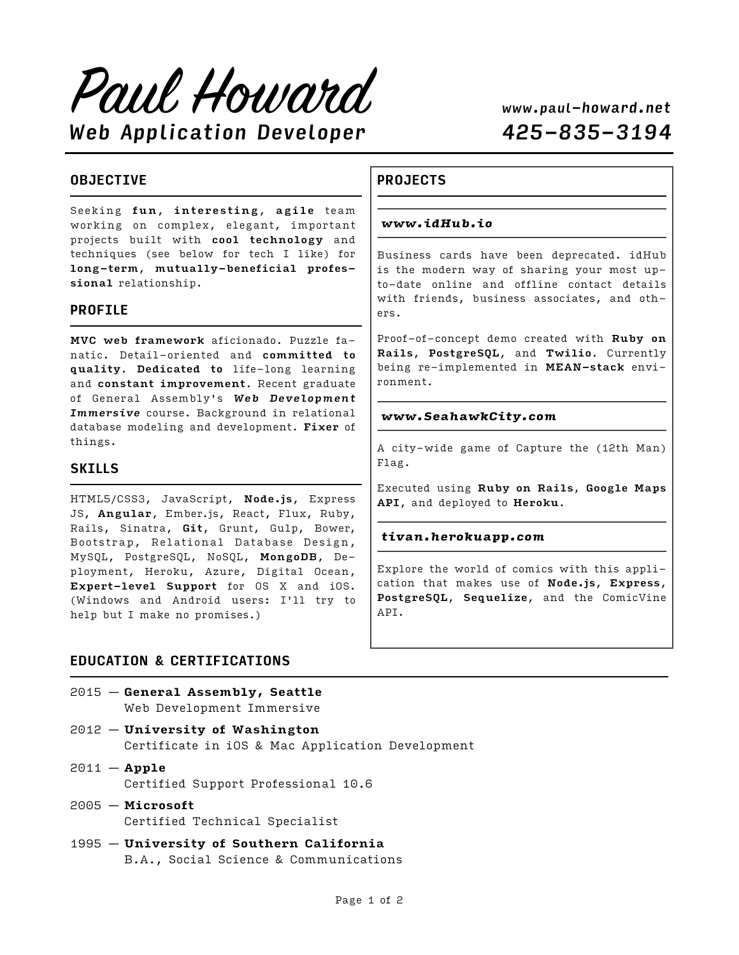Paul Howard *Web Application Developer 425-835-3194*

## **OBJECTIVE**

Seeking fun, interesting, agile team working on complex, elegant, important projects built with cool technology and techniques (see below for tech I like) for long-term, mutually-beneficial professional relationship.

#### **PROFILE**

MVC web framework aficionado. Puzzle fanatic. Detail-oriented and committed to quality. Dedicated to life-long learning and constant improvement. Recent graduate of General Assembly's *Web Development Immersive* course. Background in relational database modeling and development. Fixer of things.

#### **SKILLS**

HTML5/CSS3, JavaScript, Node.js, Express JS, Angular, Ember.js, React, Flux, Ruby, Rails, Sinatra, Git, Grunt, Gulp, Bower, Bootstrap, Relational Database Design, MySQL, PostgreSQL, NoSQL, MongoDB, Deployment, Heroku, Azure, Digital Ocean, Expert-level Support for OS X and iOS. (Windows and Android users: I'll try to help but I make no promises.)

#### **EDUCATION & CERTIFICATIONS**

- 2015 **General Assembly, Seattle** Web Development Immersive
- 2012 **University of Washington** Certificate in iOS & Mac Application Development
- 2011 **Apple** Certified Support Professional 10.6
- 2005 **Microsoft** Certified Technical Specialist
- 1995 **University of Southern California** B.A., Social Science & Communications

## **PROJECTS**

#### *www.idHub.io*

Business cards have been deprecated. idHub is the modern way of sharing your most upto-date online and offline contact details with friends, business associates, and others.

Proof-of-concept demo created with Ruby on Rails, PostgreSQL, and Twilio. Currently being re-implemented in MEAN-stack environment.

#### *www.SeahawkCity.com*

A city-wide game of Capture the (12th Man) Flag.

Executed using Ruby on Rails, Google Maps API, and deployed to Heroku.

#### *tivan.herokuapp.com*

Explore the world of comics with this application that makes use of Node.js, Express, PostgreSQL, Sequelize, and the ComicVine API.